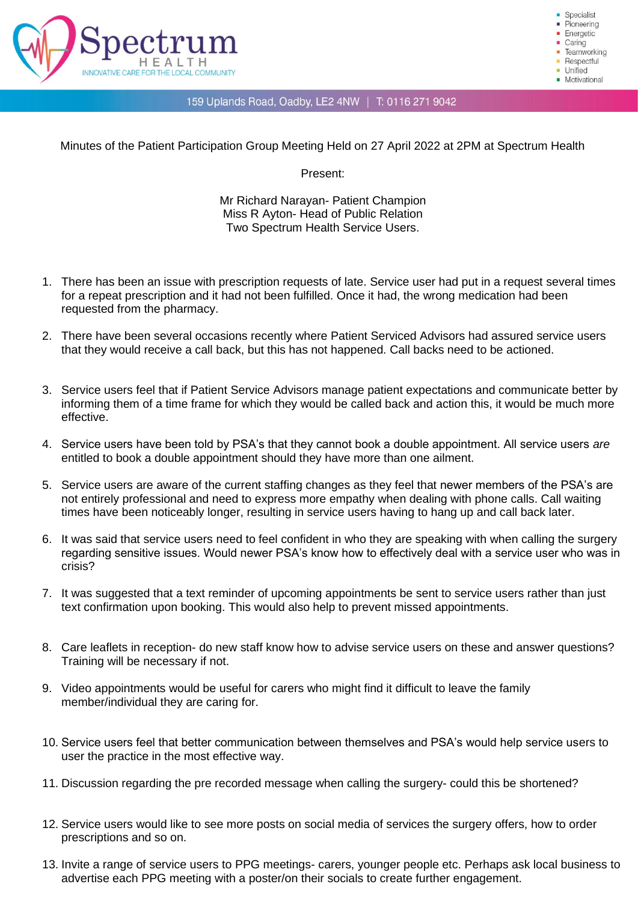

Specialist Pioneering · Energetic  $Caring$ Teamworking Respectful **Unified** • Motivational

## 159 Uplands Road, Oadby, LE2 4NW | T: 0116 271 9042

Minutes of the Patient Participation Group Meeting Held on 27 April 2022 at 2PM at Spectrum Health

Present:

Mr Richard Narayan- Patient Champion Miss R Ayton- Head of Public Relation Two Spectrum Health Service Users.

- 1. There has been an issue with prescription requests of late. Service user had put in a request several times for a repeat prescription and it had not been fulfilled. Once it had, the wrong medication had been requested from the pharmacy.
- 2. There have been several occasions recently where Patient Serviced Advisors had assured service users that they would receive a call back, but this has not happened. Call backs need to be actioned.
- 3. Service users feel that if Patient Service Advisors manage patient expectations and communicate better by informing them of a time frame for which they would be called back and action this, it would be much more effective.
- 4. Service users have been told by PSA's that they cannot book a double appointment. All service users *are*  entitled to book a double appointment should they have more than one ailment.
- 5. Service users are aware of the current staffing changes as they feel that newer members of the PSA's are not entirely professional and need to express more empathy when dealing with phone calls. Call waiting times have been noticeably longer, resulting in service users having to hang up and call back later.
- 6. It was said that service users need to feel confident in who they are speaking with when calling the surgery regarding sensitive issues. Would newer PSA's know how to effectively deal with a service user who was in crisis?
- 7. It was suggested that a text reminder of upcoming appointments be sent to service users rather than just text confirmation upon booking. This would also help to prevent missed appointments.
- 8. Care leaflets in reception- do new staff know how to advise service users on these and answer questions? Training will be necessary if not.
- 9. Video appointments would be useful for carers who might find it difficult to leave the family member/individual they are caring for.
- 10. Service users feel that better communication between themselves and PSA's would help service users to user the practice in the most effective way.
- 11. Discussion regarding the pre recorded message when calling the surgery- could this be shortened?
- 12. Service users would like to see more posts on social media of services the surgery offers, how to order prescriptions and so on.
- 13. Invite a range of service users to PPG meetings- carers, younger people etc. Perhaps ask local business to advertise each PPG meeting with a poster/on their socials to create further engagement.